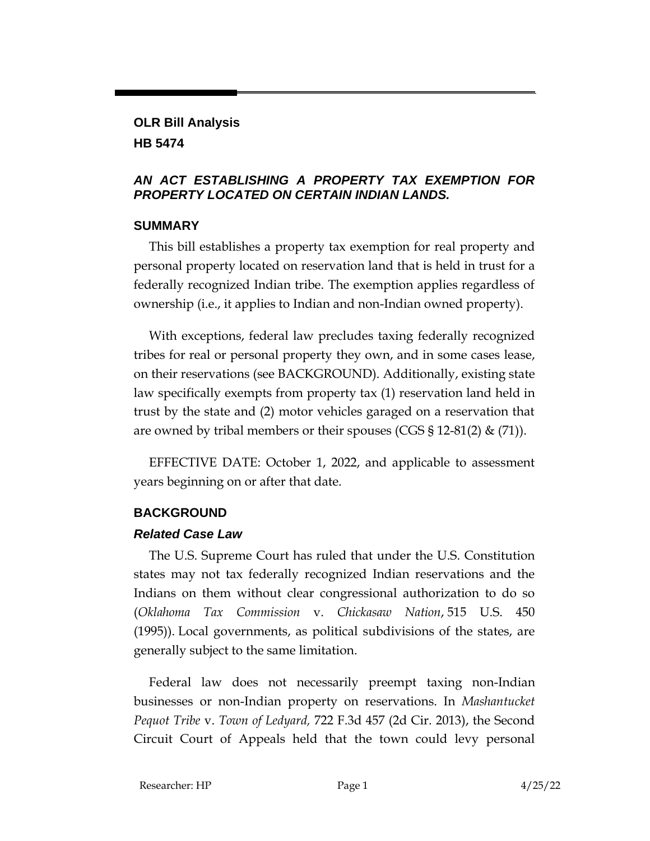### **OLR Bill Analysis HB 5474**

### *AN ACT ESTABLISHING A PROPERTY TAX EXEMPTION FOR PROPERTY LOCATED ON CERTAIN INDIAN LANDS.*

## **SUMMARY**

This bill establishes a property tax exemption for real property and personal property located on reservation land that is held in trust for a federally recognized Indian tribe. The exemption applies regardless of ownership (i.e., it applies to Indian and non-Indian owned property).

With exceptions, federal law precludes taxing federally recognized tribes for real or personal property they own, and in some cases lease, on their reservations (see BACKGROUND). Additionally, existing state law specifically exempts from property tax (1) reservation land held in trust by the state and (2) motor vehicles garaged on a reservation that are owned by tribal members or their spouses (CGS  $\S 12-81(2)$  & (71)).

EFFECTIVE DATE: October 1, 2022, and applicable to assessment years beginning on or after that date.

# **BACKGROUND**

# *Related Case Law*

The U.S. Supreme Court has ruled that under the U.S. Constitution states may not tax federally recognized Indian reservations and the Indians on them without clear congressional authorization to do so (*Oklahoma Tax Commission* v. *Chickasaw Nation*, 515 U.S. 450 (1995)). Local governments, as political subdivisions of the states, are generally subject to the same limitation.

Federal law does not necessarily preempt taxing non-Indian businesses or non-Indian property on reservations. In *Mashantucket Pequot Tribe* v. *Town of Ledyard,* 722 F.3d 457 (2d Cir. 2013), the Second Circuit Court of Appeals held that the town could levy personal